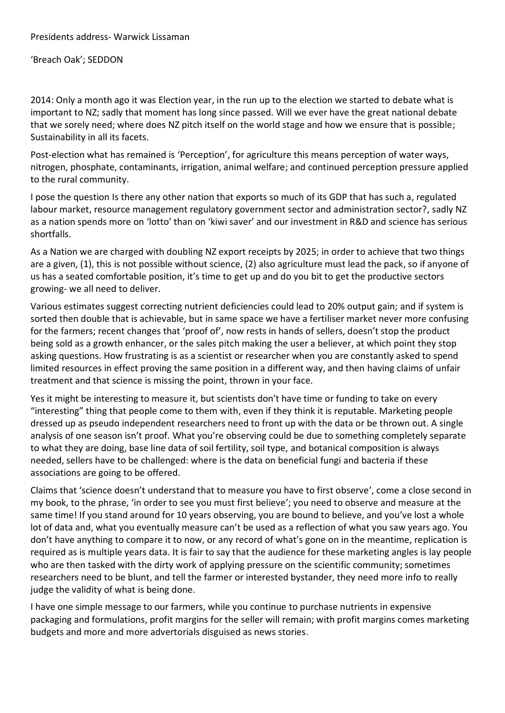## 'Breach Oak'; SEDDON

2014: Only a month ago it was Election year, in the run up to the election we started to debate what is important to NZ; sadly that moment has long since passed. Will we ever have the great national debate that we sorely need; where does NZ pitch itself on the world stage and how we ensure that is possible; Sustainability in all its facets.

Post-election what has remained is 'Perception', for agriculture this means perception of water ways, nitrogen, phosphate, contaminants, irrigation, animal welfare; and continued perception pressure applied to the rural community.

I pose the question Is there any other nation that exports so much of its GDP that has such a, regulated labour market, resource management regulatory government sector and administration sector?, sadly NZ as a nation spends more on 'lotto' than on 'kiwi saver' and our investment in R&D and science has serious shortfalls.

As a Nation we are charged with doubling NZ export receipts by 2025; in order to achieve that two things are a given, (1), this is not possible without science, (2) also agriculture must lead the pack, so if anyone of us has a seated comfortable position, it's time to get up and do you bit to get the productive sectors growing- we all need to deliver.

Various estimates suggest correcting nutrient deficiencies could lead to 20% output gain; and if system is sorted then double that is achievable, but in same space we have a fertiliser market never more confusing for the farmers; recent changes that 'proof of', now rests in hands of sellers, doesn't stop the product being sold as a growth enhancer, or the sales pitch making the user a believer, at which point they stop asking questions. How frustrating is as a scientist or researcher when you are constantly asked to spend limited resources in effect proving the same position in a different way, and then having claims of unfair treatment and that science is missing the point, thrown in your face.

Yes it might be interesting to measure it, but scientists don't have time or funding to take on every "interesting" thing that people come to them with, even if they think it is reputable. Marketing people dressed up as pseudo independent researchers need to front up with the data or be thrown out. A single analysis of one season isn't proof. What you're observing could be due to something completely separate to what they are doing, base line data of soil fertility, soil type, and botanical composition is always needed, sellers have to be challenged: where is the data on beneficial fungi and bacteria if these associations are going to be offered.

Claims that 'science doesn't understand that to measure you have to first observe', come a close second in my book, to the phrase, 'in order to see you must first believe'; you need to observe and measure at the same time! If you stand around for 10 years observing, you are bound to believe, and you've lost a whole lot of data and, what you eventually measure can't be used as a reflection of what you saw years ago. You don't have anything to compare it to now, or any record of what's gone on in the meantime, replication is required as is multiple years data. It is fair to say that the audience for these marketing angles is lay people who are then tasked with the dirty work of applying pressure on the scientific community; sometimes researchers need to be blunt, and tell the farmer or interested bystander, they need more info to really judge the validity of what is being done.

I have one simple message to our farmers, while you continue to purchase nutrients in expensive packaging and formulations, profit margins for the seller will remain; with profit margins comes marketing budgets and more and more advertorials disguised as news stories.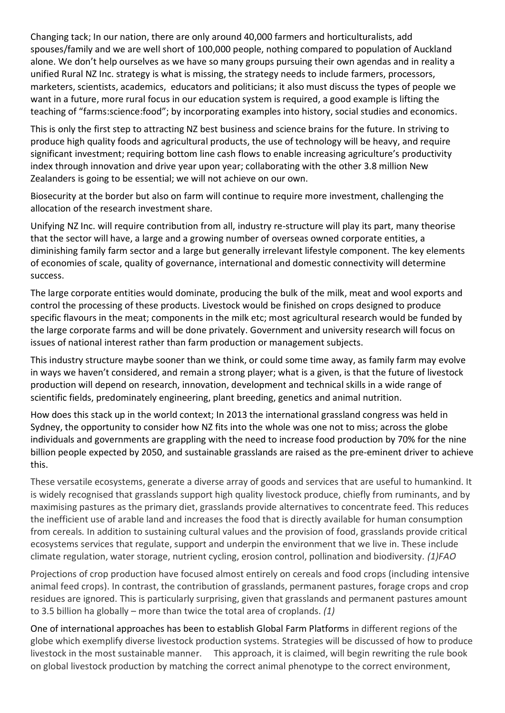Changing tack; In our nation, there are only around 40,000 farmers and horticulturalists, add spouses/family and we are well short of 100,000 people, nothing compared to population of Auckland alone. We don't help ourselves as we have so many groups pursuing their own agendas and in reality a unified Rural NZ Inc. strategy is what is missing, the strategy needs to include farmers, processors, marketers, scientists, academics, educators and politicians; it also must discuss the types of people we want in a future, more rural focus in our education system is required, a good example is lifting the teaching of "farms:science:food"; by incorporating examples into history, social studies and economics.

This is only the first step to attracting NZ best business and science brains for the future. In striving to produce high quality foods and agricultural products, the use of technology will be heavy, and require significant investment; requiring bottom line cash flows to enable increasing agriculture's productivity index through innovation and drive year upon year; collaborating with the other 3.8 million New Zealanders is going to be essential; we will not achieve on our own.

Biosecurity at the border but also on farm will continue to require more investment, challenging the allocation of the research investment share.

Unifying NZ Inc. will require contribution from all, industry re-structure will play its part, many theorise that the sector will have, a large and a growing number of overseas owned corporate entities, a diminishing family farm sector and a large but generally irrelevant lifestyle component. The key elements of economies of scale, quality of governance, international and domestic connectivity will determine success.

The large corporate entities would dominate, producing the bulk of the milk, meat and wool exports and control the processing of these products. Livestock would be finished on crops designed to produce specific flavours in the meat; components in the milk etc; most agricultural research would be funded by the large corporate farms and will be done privately. Government and university research will focus on issues of national interest rather than farm production or management subjects.

This industry structure maybe sooner than we think, or could some time away, as family farm may evolve in ways we haven't considered, and remain a strong player; what is a given, is that the future of livestock production will depend on research, innovation, development and technical skills in a wide range of scientific fields, predominately engineering, plant breeding, genetics and animal nutrition.

How does this stack up in the world context; In 2013 the international grassland congress was held in Sydney, the opportunity to consider how NZ fits into the whole was one not to miss; across the globe individuals and governments are grappling with the need to increase food production by 70% for the nine billion people expected by 2050, and sustainable grasslands are raised as the pre-eminent driver to achieve this.

These versatile ecosystems, generate a diverse array of goods and services that are useful to humankind. It is widely recognised that grasslands support high quality livestock produce, chiefly from ruminants, and by maximising pastures as the primary diet, grasslands provide alternatives to concentrate feed. This reduces the inefficient use of arable land and increases the food that is directly available for human consumption from cereals*.* In addition to sustaining cultural values and the provision of food, grasslands provide critical ecosystems services that regulate, support and underpin the environment that we live in. These include climate regulation, water storage, nutrient cycling, erosion control, pollination and biodiversity. *(1)FAO* 

Projections of crop production have focused almost entirely on cereals and food crops (including intensive animal feed crops). In contrast, the contribution of grasslands, permanent pastures, forage crops and crop residues are ignored. This is particularly surprising, given that grasslands and permanent pastures amount to 3.5 billion ha globally – more than twice the total area of croplands. *(1)*

One of international approaches has been to establish Global Farm Platforms in different regions of the globe which exemplify diverse livestock production systems. Strategies will be discussed of how to produce livestock in the most sustainable manner. This approach, it is claimed, will begin rewriting the rule book on global livestock production by matching the correct animal phenotype to the correct environment,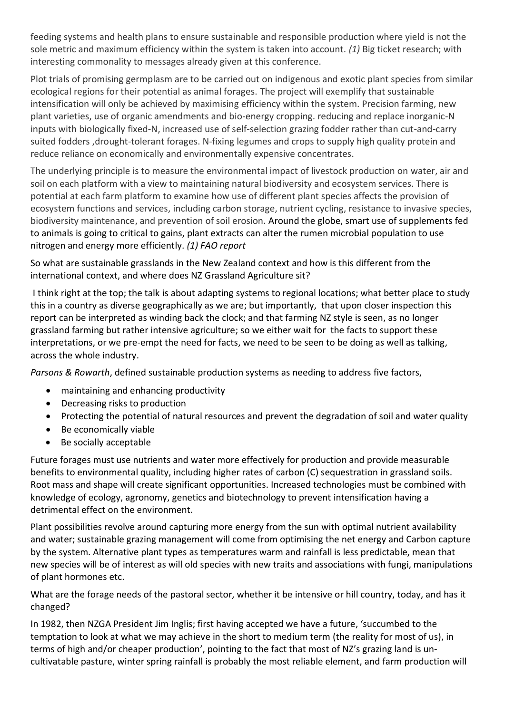feeding systems and health plans to ensure sustainable and responsible production where yield is not the sole metric and maximum efficiency within the system is taken into account. *(1)* Big ticket research; with interesting commonality to messages already given at this conference.

Plot trials of promising germplasm are to be carried out on indigenous and exotic plant species from similar ecological regions for their potential as animal forages. The project will exemplify that sustainable intensification will only be achieved by maximising efficiency within the system. Precision farming, new plant varieties, use of organic amendments and bio-energy cropping. reducing and replace inorganic-N inputs with biologically fixed-N, increased use of self-selection grazing fodder rather than cut-and-carry suited fodders ,drought-tolerant forages. N-fixing legumes and crops to supply high quality protein and reduce reliance on economically and environmentally expensive concentrates.

The underlying principle is to measure the environmental impact of livestock production on water, air and soil on each platform with a view to maintaining natural biodiversity and ecosystem services. There is potential at each farm platform to examine how use of different plant species affects the provision of ecosystem functions and services, including carbon storage, nutrient cycling, resistance to invasive species, biodiversity maintenance, and prevention of soil erosion. Around the globe, smart use of supplements fed to animals is going to critical to gains, plant extracts can alter the rumen microbial population to use nitrogen and energy more efficiently. *(1) FAO report*

So what are sustainable grasslands in the New Zealand context and how is this different from the international context, and where does NZ Grassland Agriculture sit?

I think right at the top; the talk is about adapting systems to regional locations; what better place to study this in a country as diverse geographically as we are; but importantly, that upon closer inspection this report can be interpreted as winding back the clock; and that farming NZ style is seen, as no longer grassland farming but rather intensive agriculture; so we either wait for the facts to support these interpretations, or we pre-empt the need for facts, we need to be seen to be doing as well as talking, across the whole industry.

*Parsons & Rowarth*, defined sustainable production systems as needing to address five factors,

- maintaining and enhancing productivity
- Decreasing risks to production
- Protecting the potential of natural resources and prevent the degradation of soil and water quality
- Be economically viable
- Be socially acceptable

Future forages must use nutrients and water more effectively for production and provide measurable benefits to environmental quality, including higher rates of carbon (C) sequestration in grassland soils. Root mass and shape will create significant opportunities. Increased technologies must be combined with knowledge of ecology, agronomy, genetics and biotechnology to prevent intensification having a detrimental effect on the environment.

Plant possibilities revolve around capturing more energy from the sun with optimal nutrient availability and water; sustainable grazing management will come from optimising the net energy and Carbon capture by the system. Alternative plant types as temperatures warm and rainfall is less predictable, mean that new species will be of interest as will old species with new traits and associations with fungi, manipulations of plant hormones etc.

What are the forage needs of the pastoral sector, whether it be intensive or hill country, today, and has it changed?

In 1982, then NZGA President Jim Inglis; first having accepted we have a future, 'succumbed to the temptation to look at what we may achieve in the short to medium term (the reality for most of us), in terms of high and/or cheaper production', pointing to the fact that most of NZ's grazing land is uncultivatable pasture, winter spring rainfall is probably the most reliable element, and farm production will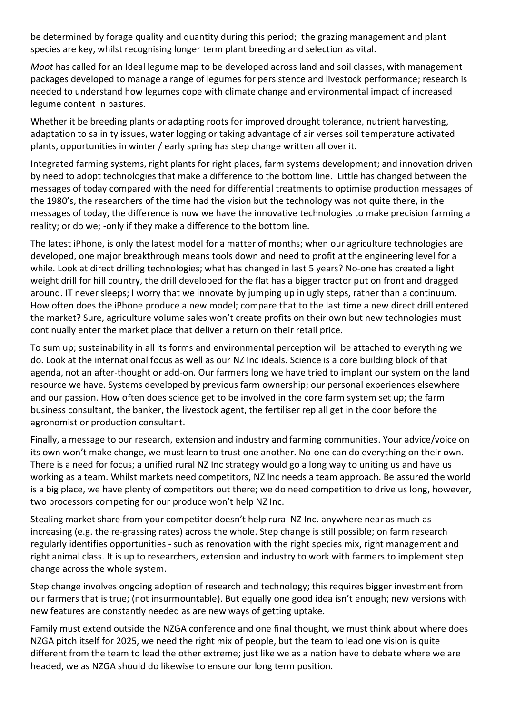be determined by forage quality and quantity during this period; the grazing management and plant species are key, whilst recognising longer term plant breeding and selection as vital.

*Moot* has called for an Ideal legume map to be developed across land and soil classes, with management packages developed to manage a range of legumes for persistence and livestock performance; research is needed to understand how legumes cope with climate change and environmental impact of increased legume content in pastures.

Whether it be breeding plants or adapting roots for improved drought tolerance, nutrient harvesting, adaptation to salinity issues, water logging or taking advantage of air verses soil temperature activated plants, opportunities in winter / early spring has step change written all over it.

Integrated farming systems, right plants for right places, farm systems development; and innovation driven by need to adopt technologies that make a difference to the bottom line. Little has changed between the messages of today compared with the need for differential treatments to optimise production messages of the 1980's, the researchers of the time had the vision but the technology was not quite there, in the messages of today, the difference is now we have the innovative technologies to make precision farming a reality; or do we; -only if they make a difference to the bottom line.

The latest iPhone, is only the latest model for a matter of months; when our agriculture technologies are developed, one major breakthrough means tools down and need to profit at the engineering level for a while. Look at direct drilling technologies; what has changed in last 5 years? No-one has created a light weight drill for hill country, the drill developed for the flat has a bigger tractor put on front and dragged around. IT never sleeps; I worry that we innovate by jumping up in ugly steps, rather than a continuum. How often does the iPhone produce a new model; compare that to the last time a new direct drill entered the market? Sure, agriculture volume sales won't create profits on their own but new technologies must continually enter the market place that deliver a return on their retail price.

To sum up; sustainability in all its forms and environmental perception will be attached to everything we do. Look at the international focus as well as our NZ Inc ideals. Science is a core building block of that agenda, not an after-thought or add-on. Our farmers long we have tried to implant our system on the land resource we have. Systems developed by previous farm ownership; our personal experiences elsewhere and our passion. How often does science get to be involved in the core farm system set up; the farm business consultant, the banker, the livestock agent, the fertiliser rep all get in the door before the agronomist or production consultant.

Finally, a message to our research, extension and industry and farming communities. Your advice/voice on its own won't make change, we must learn to trust one another. No-one can do everything on their own. There is a need for focus; a unified rural NZ Inc strategy would go a long way to uniting us and have us working as a team. Whilst markets need competitors, NZ Inc needs a team approach. Be assured the world is a big place, we have plenty of competitors out there; we do need competition to drive us long, however, two processors competing for our produce won't help NZ Inc.

Stealing market share from your competitor doesn't help rural NZ Inc. anywhere near as much as increasing (e.g. the re-grassing rates) across the whole. Step change is still possible; on farm research regularly identifies opportunities - such as renovation with the right species mix, right management and right animal class. It is up to researchers, extension and industry to work with farmers to implement step change across the whole system.

Step change involves ongoing adoption of research and technology; this requires bigger investment from our farmers that is true; (not insurmountable). But equally one good idea isn't enough; new versions with new features are constantly needed as are new ways of getting uptake.

Family must extend outside the NZGA conference and one final thought, we must think about where does NZGA pitch itself for 2025, we need the right mix of people, but the team to lead one vision is quite different from the team to lead the other extreme; just like we as a nation have to debate where we are headed, we as NZGA should do likewise to ensure our long term position.